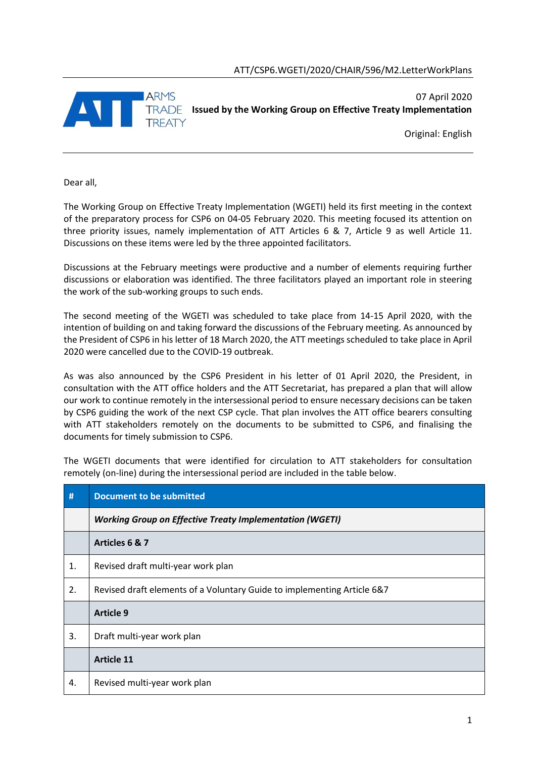

Original: English

Dear all,

The Working Group on Effective Treaty Implementation (WGETI) held its first meeting in the context of the preparatory process for CSP6 on 04-05 February 2020. This meeting focused its attention on three priority issues, namely implementation of ATT Articles 6 & 7, Article 9 as well Article 11. Discussions on these items were led by the three appointed facilitators.

Discussions at the February meetings were productive and a number of elements requiring further discussions or elaboration was identified. The three facilitators played an important role in steering the work of the sub-working groups to such ends.

The second meeting of the WGETI was scheduled to take place from 14-15 April 2020, with the intention of building on and taking forward the discussions of the February meeting. As announced by the President of CSP6 in his letter of 18 March 2020, the ATT meetings scheduled to take place in April 2020 were cancelled due to the COVID-19 outbreak.

As was also announced by the CSP6 President in his letter of 01 April 2020, the President, in consultation with the ATT office holders and the ATT Secretariat, has prepared a plan that will allow our work to continue remotely in the intersessional period to ensure necessary decisions can be taken by CSP6 guiding the work of the next CSP cycle. That plan involves the ATT office bearers consulting with ATT stakeholders remotely on the documents to be submitted to CSP6, and finalising the documents for timely submission to CSP6.

The WGETI documents that were identified for circulation to ATT stakeholders for consultation remotely (on-line) during the intersessional period are included in the table below.

| #  | <b>Document to be submitted</b>                                         |  |
|----|-------------------------------------------------------------------------|--|
|    | <b>Working Group on Effective Treaty Implementation (WGETI)</b>         |  |
|    | Articles 6 & 7                                                          |  |
| 1. | Revised draft multi-year work plan                                      |  |
| 2. | Revised draft elements of a Voluntary Guide to implementing Article 6&7 |  |
|    | <b>Article 9</b>                                                        |  |
| 3. | Draft multi-year work plan                                              |  |
|    | <b>Article 11</b>                                                       |  |
| 4. | Revised multi-year work plan                                            |  |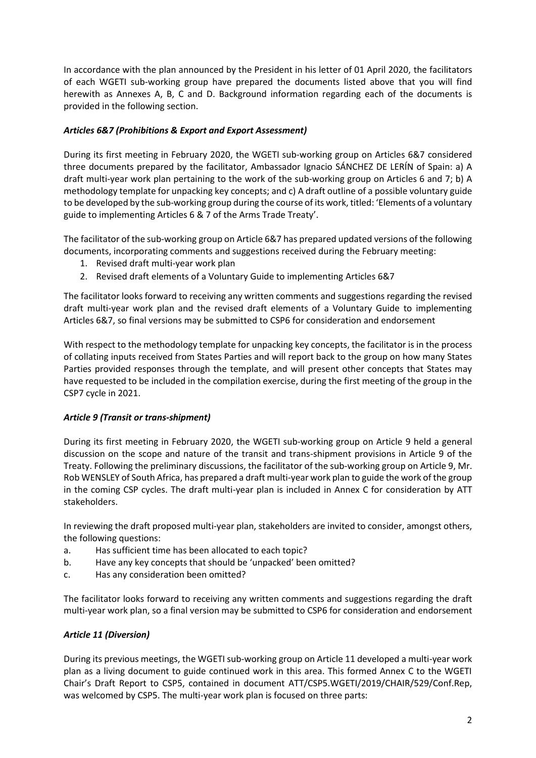In accordance with the plan announced by the President in his letter of 01 April 2020, the facilitators of each WGETI sub-working group have prepared the documents listed above that you will find herewith as Annexes A, B, C and D. Background information regarding each of the documents is provided in the following section.

# *Articles 6&7 (Prohibitions & Export and Export Assessment)*

During its first meeting in February 2020, the WGETI sub-working group on Articles 6&7 considered three documents prepared by the facilitator, Ambassador Ignacio SÁNCHEZ DE LERÍN of Spain: a) A draft multi-year work plan pertaining to the work of the sub-working group on Articles 6 and 7; b) A methodology template for unpacking key concepts; and c) A draft outline of a possible voluntary guide to be developed by the sub-working group during the course of its work, titled: 'Elements of a voluntary guide to implementing Articles 6 & 7 of the Arms Trade Treaty'.

The facilitator of the sub-working group on Article 6&7 has prepared updated versions of the following documents, incorporating comments and suggestions received during the February meeting:

- 1. Revised draft multi-year work plan
- 2. Revised draft elements of a Voluntary Guide to implementing Articles 6&7

The facilitator looks forward to receiving any written comments and suggestions regarding the revised draft multi-year work plan and the revised draft elements of a Voluntary Guide to implementing Articles 6&7, so final versions may be submitted to CSP6 for consideration and endorsement

With respect to the methodology template for unpacking key concepts, the facilitator is in the process of collating inputs received from States Parties and will report back to the group on how many States Parties provided responses through the template, and will present other concepts that States may have requested to be included in the compilation exercise, during the first meeting of the group in the CSP7 cycle in 2021.

### *Article 9 (Transit or trans-shipment)*

During its first meeting in February 2020, the WGETI sub-working group on Article 9 held a general discussion on the scope and nature of the transit and trans-shipment provisions in Article 9 of the Treaty. Following the preliminary discussions, the facilitator of the sub-working group on Article 9, Mr. Rob WENSLEY of South Africa, has prepared a draft multi-year work plan to guide the work of the group in the coming CSP cycles. The draft multi-year plan is included in Annex C for consideration by ATT stakeholders.

In reviewing the draft proposed multi-year plan, stakeholders are invited to consider, amongst others, the following questions:

- a. Has sufficient time has been allocated to each topic?
- b. Have any key concepts that should be 'unpacked' been omitted?
- c. Has any consideration been omitted?

The facilitator looks forward to receiving any written comments and suggestions regarding the draft multi-year work plan, so a final version may be submitted to CSP6 for consideration and endorsement

# *Article 11 (Diversion)*

During its previous meetings, the WGETI sub-working group on Article 11 developed a multi-year work plan as a living document to guide continued work in this area. This formed Annex C to the WGETI Chair's Draft Report to CSP5, contained in document ATT/CSP5.WGETI/2019/CHAIR/529/Conf.Rep, was welcomed by CSP5. The multi-year work plan is focused on three parts: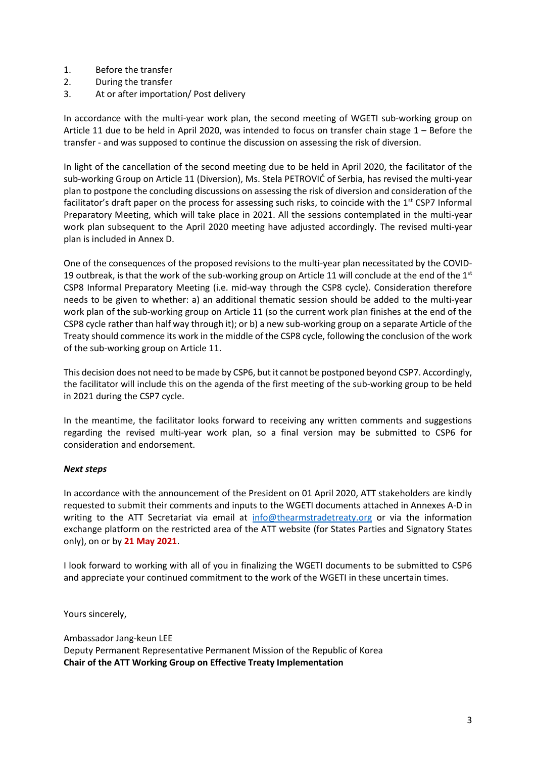- 1. Before the transfer
- 2. During the transfer
- 3. At or after importation/ Post delivery

In accordance with the multi-year work plan, the second meeting of WGETI sub-working group on Article 11 due to be held in April 2020, was intended to focus on transfer chain stage 1 – Before the transfer - and was supposed to continue the discussion on assessing the risk of diversion.

In light of the cancellation of the second meeting due to be held in April 2020, the facilitator of the sub-working Group on Article 11 (Diversion), Ms. Stela PETROVIĆ of Serbia, has revised the multi-year plan to postpone the concluding discussions on assessing the risk of diversion and consideration of the facilitator's draft paper on the process for assessing such risks, to coincide with the 1<sup>st</sup> CSP7 Informal Preparatory Meeting, which will take place in 2021. All the sessions contemplated in the multi-year work plan subsequent to the April 2020 meeting have adjusted accordingly. The revised multi-year plan is included in Annex D.

One of the consequences of the proposed revisions to the multi-year plan necessitated by the COVID-19 outbreak, is that the work of the sub-working group on Article 11 will conclude at the end of the  $1^{st}$ CSP8 Informal Preparatory Meeting (i.e. mid-way through the CSP8 cycle). Consideration therefore needs to be given to whether: a) an additional thematic session should be added to the multi-year work plan of the sub-working group on Article 11 (so the current work plan finishes at the end of the CSP8 cycle rather than half way through it); or b) a new sub-working group on a separate Article of the Treaty should commence its work in the middle of the CSP8 cycle, following the conclusion of the work of the sub-working group on Article 11.

This decision does not need to be made by CSP6, but it cannot be postponed beyond CSP7. Accordingly, the facilitator will include this on the agenda of the first meeting of the sub-working group to be held in 2021 during the CSP7 cycle.

In the meantime, the facilitator looks forward to receiving any written comments and suggestions regarding the revised multi-year work plan, so a final version may be submitted to CSP6 for consideration and endorsement.

### *Next steps*

In accordance with the announcement of the President on 01 April 2020, ATT stakeholders are kindly requested to submit their comments and inputs to the WGETI documents attached in Annexes A-D in writing to the ATT Secretariat via email at [info@thearmstradetreaty.org](mailto:info@thearmstradetreaty.org) or via the information exchange platform on the restricted area of the ATT website (for States Parties and Signatory States only), on or by **21 May 2021**.

I look forward to working with all of you in finalizing the WGETI documents to be submitted to CSP6 and appreciate your continued commitment to the work of the WGETI in these uncertain times.

Yours sincerely,

Ambassador Jang-keun LEE Deputy Permanent Representative Permanent Mission of the Republic of Korea **Chair of the ATT Working Group on Effective Treaty Implementation**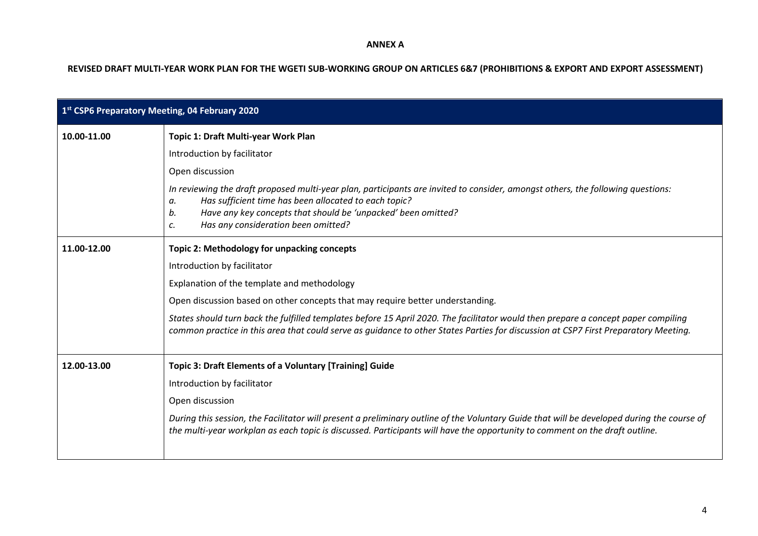#### **ANNEX A**

**REVISED DRAFT MULTI-YEAR WORK PLAN FOR THE WGETI SUB-WORKING GROUP ON ARTICLES 6&7 (PROHIBITIONS & EXPORT AND EXPORT ASSESSMENT)**

| 1st CSP6 Preparatory Meeting, 04 February 2020 |                                                                                                                                                                                                                                                                                                                    |  |
|------------------------------------------------|--------------------------------------------------------------------------------------------------------------------------------------------------------------------------------------------------------------------------------------------------------------------------------------------------------------------|--|
| 10.00-11.00                                    | Topic 1: Draft Multi-year Work Plan                                                                                                                                                                                                                                                                                |  |
|                                                | Introduction by facilitator                                                                                                                                                                                                                                                                                        |  |
|                                                | Open discussion                                                                                                                                                                                                                                                                                                    |  |
|                                                | In reviewing the draft proposed multi-year plan, participants are invited to consider, amongst others, the following questions:<br>Has sufficient time has been allocated to each topic?<br>а.<br>Have any key concepts that should be 'unpacked' been omitted?<br>b.<br>Has any consideration been omitted?<br>c. |  |
| 11.00-12.00                                    | Topic 2: Methodology for unpacking concepts                                                                                                                                                                                                                                                                        |  |
|                                                | Introduction by facilitator                                                                                                                                                                                                                                                                                        |  |
|                                                | Explanation of the template and methodology                                                                                                                                                                                                                                                                        |  |
|                                                | Open discussion based on other concepts that may require better understanding.                                                                                                                                                                                                                                     |  |
|                                                | States should turn back the fulfilled templates before 15 April 2020. The facilitator would then prepare a concept paper compiling<br>common practice in this area that could serve as guidance to other States Parties for discussion at CSP7 First Preparatory Meeting.                                          |  |
| 12.00-13.00                                    | <b>Topic 3: Draft Elements of a Voluntary [Training] Guide</b>                                                                                                                                                                                                                                                     |  |
|                                                | Introduction by facilitator                                                                                                                                                                                                                                                                                        |  |
|                                                | Open discussion                                                                                                                                                                                                                                                                                                    |  |
|                                                | During this session, the Facilitator will present a preliminary outline of the Voluntary Guide that will be developed during the course of<br>the multi-year workplan as each topic is discussed. Participants will have the opportunity to comment on the draft outline.                                          |  |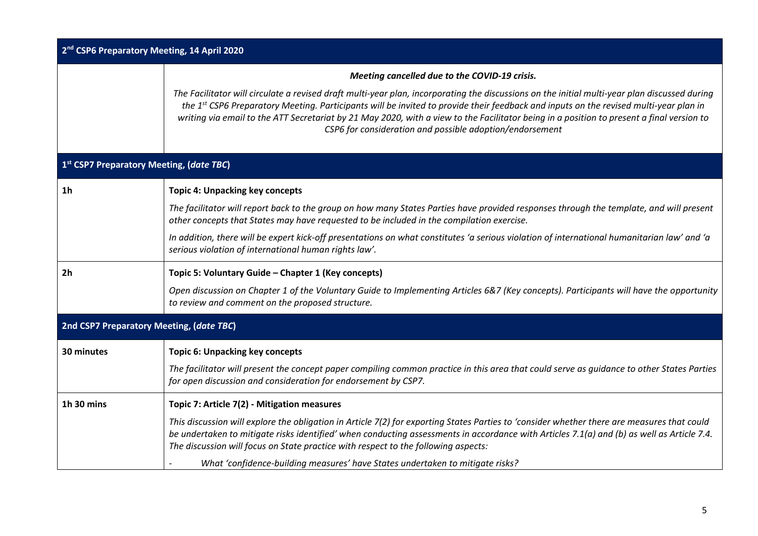| 2 <sup>nd</sup> CSP6 Preparatory Meeting, 14 April 2020 |                                                                                                                                                                                                                                                                                                                                                                                                                                                                                                 |  |
|---------------------------------------------------------|-------------------------------------------------------------------------------------------------------------------------------------------------------------------------------------------------------------------------------------------------------------------------------------------------------------------------------------------------------------------------------------------------------------------------------------------------------------------------------------------------|--|
|                                                         | Meeting cancelled due to the COVID-19 crisis.                                                                                                                                                                                                                                                                                                                                                                                                                                                   |  |
|                                                         | The Facilitator will circulate a revised draft multi-year plan, incorporating the discussions on the initial multi-year plan discussed during<br>the 1st CSP6 Preparatory Meeting. Participants will be invited to provide their feedback and inputs on the revised multi-year plan in<br>writing via email to the ATT Secretariat by 21 May 2020, with a view to the Facilitator being in a position to present a final version to<br>CSP6 for consideration and possible adoption/endorsement |  |
|                                                         | 1st CSP7 Preparatory Meeting, (date TBC)                                                                                                                                                                                                                                                                                                                                                                                                                                                        |  |
| 1 <sub>h</sub>                                          | <b>Topic 4: Unpacking key concepts</b>                                                                                                                                                                                                                                                                                                                                                                                                                                                          |  |
|                                                         | The facilitator will report back to the group on how many States Parties have provided responses through the template, and will present<br>other concepts that States may have requested to be included in the compilation exercise.                                                                                                                                                                                                                                                            |  |
|                                                         | In addition, there will be expert kick-off presentations on what constitutes 'a serious violation of international humanitarian law' and 'a<br>serious violation of international human rights law'.                                                                                                                                                                                                                                                                                            |  |
| 2 <sub>h</sub>                                          | Topic 5: Voluntary Guide - Chapter 1 (Key concepts)                                                                                                                                                                                                                                                                                                                                                                                                                                             |  |
|                                                         | Open discussion on Chapter 1 of the Voluntary Guide to Implementing Articles 6&7 (Key concepts). Participants will have the opportunity<br>to review and comment on the proposed structure.                                                                                                                                                                                                                                                                                                     |  |
|                                                         | 2nd CSP7 Preparatory Meeting, (date TBC)                                                                                                                                                                                                                                                                                                                                                                                                                                                        |  |
| 30 minutes                                              | <b>Topic 6: Unpacking key concepts</b>                                                                                                                                                                                                                                                                                                                                                                                                                                                          |  |
|                                                         | The facilitator will present the concept paper compiling common practice in this area that could serve as guidance to other States Parties<br>for open discussion and consideration for endorsement by CSP7.                                                                                                                                                                                                                                                                                    |  |
| 1h 30 mins                                              | Topic 7: Article 7(2) - Mitigation measures                                                                                                                                                                                                                                                                                                                                                                                                                                                     |  |
|                                                         | This discussion will explore the obligation in Article 7(2) for exporting States Parties to 'consider whether there are measures that could<br>be undertaken to mitigate risks identified' when conducting assessments in accordance with Articles 7.1(a) and (b) as well as Article 7.4.<br>The discussion will focus on State practice with respect to the following aspects:                                                                                                                 |  |
|                                                         | What 'confidence-building measures' have States undertaken to mitigate risks?                                                                                                                                                                                                                                                                                                                                                                                                                   |  |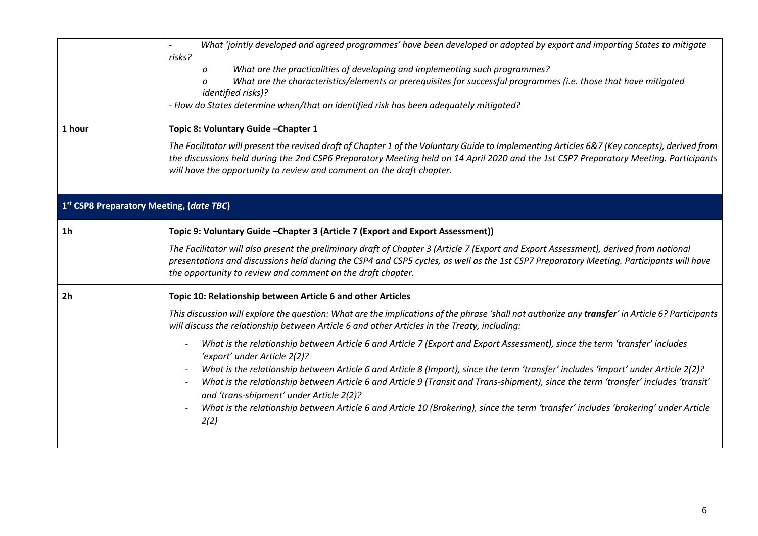|                | What 'jointly developed and agreed programmes' have been developed or adopted by export and importing States to mitigate<br>risks?                                                                                                                                                                                                                             |  |  |
|----------------|----------------------------------------------------------------------------------------------------------------------------------------------------------------------------------------------------------------------------------------------------------------------------------------------------------------------------------------------------------------|--|--|
|                | What are the practicalities of developing and implementing such programmes?<br>0<br>What are the characteristics/elements or prerequisites for successful programmes (i.e. those that have mitigated<br><i>identified risks)?</i><br>- How do States determine when/that an identified risk has been adequately mitigated?                                     |  |  |
| 1 hour         | Topic 8: Voluntary Guide-Chapter 1                                                                                                                                                                                                                                                                                                                             |  |  |
|                | The Facilitator will present the revised draft of Chapter 1 of the Voluntary Guide to Implementing Articles 6&7 (Key concepts), derived from<br>the discussions held during the 2nd CSP6 Preparatory Meeting held on 14 April 2020 and the 1st CSP7 Preparatory Meeting. Participants<br>will have the opportunity to review and comment on the draft chapter. |  |  |
|                | 1st CSP8 Preparatory Meeting, (date TBC)                                                                                                                                                                                                                                                                                                                       |  |  |
| 1 <sub>h</sub> | Topic 9: Voluntary Guide - Chapter 3 (Article 7 (Export and Export Assessment))                                                                                                                                                                                                                                                                                |  |  |
|                | The Facilitator will also present the preliminary draft of Chapter 3 (Article 7 (Export and Export Assessment), derived from national<br>presentations and discussions held during the CSP4 and CSP5 cycles, as well as the 1st CSP7 Preparatory Meeting. Participants will have<br>the opportunity to review and comment on the draft chapter.                |  |  |
| 2 <sub>h</sub> | Topic 10: Relationship between Article 6 and other Articles                                                                                                                                                                                                                                                                                                    |  |  |
|                | This discussion will explore the question: What are the implications of the phrase 'shall not authorize any transfer' in Article 6? Participants<br>will discuss the relationship between Article 6 and other Articles in the Treaty, including:                                                                                                               |  |  |
|                | What is the relationship between Article 6 and Article 7 (Export and Export Assessment), since the term 'transfer' includes<br>'export' under Article 2(2)?                                                                                                                                                                                                    |  |  |
|                | What is the relationship between Article 6 and Article 8 (Import), since the term 'transfer' includes 'import' under Article 2(2)?<br>$\overline{\phantom{a}}$<br>What is the relationship between Article 6 and Article 9 (Transit and Trans-shipment), since the term 'transfer' includes 'transit'<br>and 'trans-shipment' under Article 2(2)?              |  |  |
|                | What is the relationship between Article 6 and Article 10 (Brokering), since the term 'transfer' includes 'brokering' under Article<br>2(2)                                                                                                                                                                                                                    |  |  |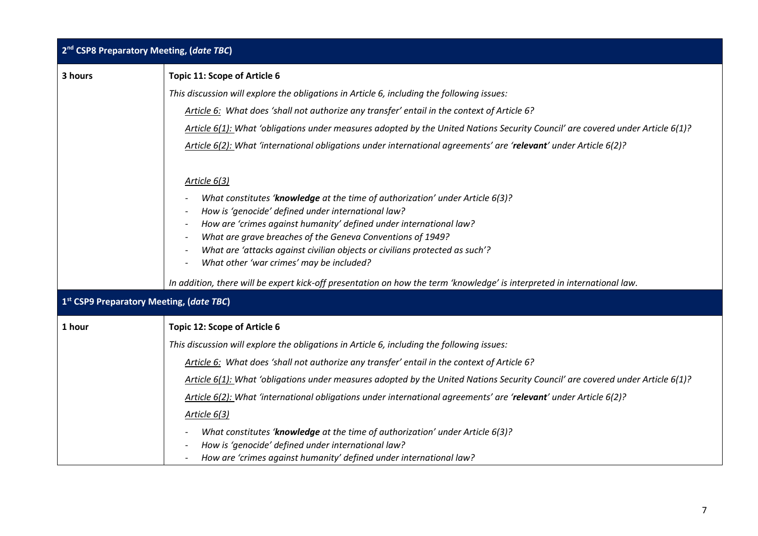| 2 <sup>nd</sup> CSP8 Preparatory Meeting, (date TBC) |                                                                                                                                           |  |  |
|------------------------------------------------------|-------------------------------------------------------------------------------------------------------------------------------------------|--|--|
| 3 hours                                              | <b>Topic 11: Scope of Article 6</b>                                                                                                       |  |  |
|                                                      | This discussion will explore the obligations in Article 6, including the following issues:                                                |  |  |
|                                                      | Article 6: What does 'shall not authorize any transfer' entail in the context of Article 6?                                               |  |  |
|                                                      | Article 6(1): What 'obligations under measures adopted by the United Nations Security Council' are covered under Article 6(1)?            |  |  |
|                                                      | Article 6(2): What 'international obligations under international agreements' are 'relevant' under Article 6(2)?                          |  |  |
|                                                      | Article 6(3)                                                                                                                              |  |  |
|                                                      | What constitutes 'knowledge at the time of authorization' under Article 6(3)?                                                             |  |  |
|                                                      | How is 'genocide' defined under international law?                                                                                        |  |  |
|                                                      | How are 'crimes against humanity' defined under international law?                                                                        |  |  |
|                                                      | What are grave breaches of the Geneva Conventions of 1949?<br>What are 'attacks against civilian objects or civilians protected as such'? |  |  |
|                                                      | What other 'war crimes' may be included?                                                                                                  |  |  |
|                                                      | In addition, there will be expert kick-off presentation on how the term 'knowledge' is interpreted in international law.                  |  |  |
|                                                      | 1st CSP9 Preparatory Meeting, (date TBC)                                                                                                  |  |  |
| 1 hour                                               | <b>Topic 12: Scope of Article 6</b>                                                                                                       |  |  |
|                                                      | This discussion will explore the obligations in Article 6, including the following issues:                                                |  |  |
|                                                      | Article 6: What does 'shall not authorize any transfer' entail in the context of Article 6?                                               |  |  |
|                                                      | Article 6(1): What 'obligations under measures adopted by the United Nations Security Council' are covered under Article 6(1)?            |  |  |
|                                                      | Article 6(2): What 'international obligations under international agreements' are 'relevant' under Article 6(2)?                          |  |  |
|                                                      | Article 6(3)                                                                                                                              |  |  |
|                                                      | What constitutes 'knowledge at the time of authorization' under Article 6(3)?                                                             |  |  |
|                                                      | How is 'genocide' defined under international law?                                                                                        |  |  |
|                                                      | How are 'crimes against humanity' defined under international law?                                                                        |  |  |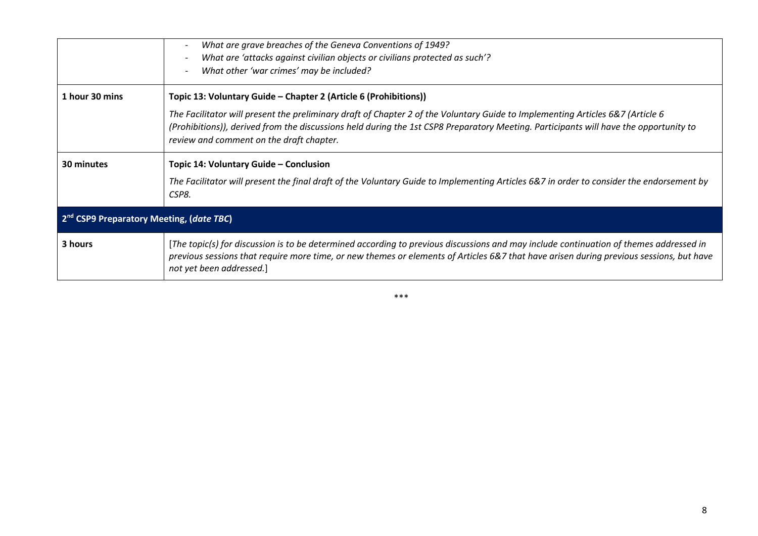|                                                      | What are grave breaches of the Geneva Conventions of 1949?<br>What are 'attacks against civilian objects or civilians protected as such'?<br>What other 'war crimes' may be included?                                                                                                                               |
|------------------------------------------------------|---------------------------------------------------------------------------------------------------------------------------------------------------------------------------------------------------------------------------------------------------------------------------------------------------------------------|
| 1 hour 30 mins                                       | Topic 13: Voluntary Guide – Chapter 2 (Article 6 (Prohibitions))                                                                                                                                                                                                                                                    |
|                                                      | The Facilitator will present the preliminary draft of Chapter 2 of the Voluntary Guide to Implementing Articles 6&7 (Article 6<br>(Prohibitions)), derived from the discussions held during the 1st CSP8 Preparatory Meeting. Participants will have the opportunity to<br>review and comment on the draft chapter. |
| 30 minutes                                           | Topic 14: Voluntary Guide - Conclusion                                                                                                                                                                                                                                                                              |
|                                                      | The Facilitator will present the final draft of the Voluntary Guide to Implementing Articles 6&7 in order to consider the endorsement by<br>CSP8.                                                                                                                                                                   |
| 2 <sup>nd</sup> CSP9 Preparatory Meeting, (date TBC) |                                                                                                                                                                                                                                                                                                                     |
| 3 hours                                              | [The topic(s) for discussion is to be determined according to previous discussions and may include continuation of themes addressed in<br>previous sessions that require more time, or new themes or elements of Articles 6&7 that have arisen during previous sessions, but have<br>not yet been addressed.]       |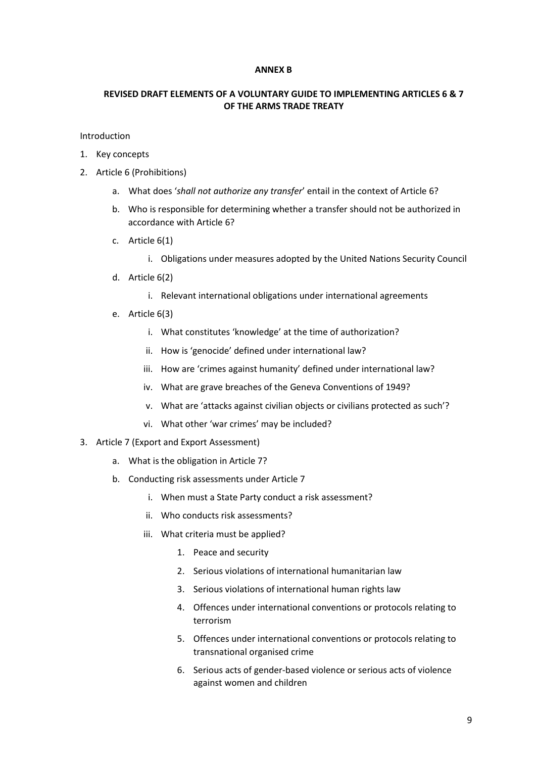#### **ANNEX B**

#### **REVISED DRAFT ELEMENTS OF A VOLUNTARY GUIDE TO IMPLEMENTING ARTICLES 6 & 7 OF THE ARMS TRADE TREATY**

Introduction

- 1. Key concepts
- 2. Article 6 (Prohibitions)
	- a. What does '*shall not authorize any transfer*' entail in the context of Article 6?
	- b. Who is responsible for determining whether a transfer should not be authorized in accordance with Article 6?
	- c. Article 6(1)
		- i. Obligations under measures adopted by the United Nations Security Council
	- d. Article 6(2)
		- i. Relevant international obligations under international agreements
	- e. Article 6(3)
		- i. What constitutes 'knowledge' at the time of authorization?
		- ii. How is 'genocide' defined under international law?
		- iii. How are 'crimes against humanity' defined under international law?
		- iv. What are grave breaches of the Geneva Conventions of 1949?
		- v. What are 'attacks against civilian objects or civilians protected as such'?
		- vi. What other 'war crimes' may be included?
- 3. Article 7 (Export and Export Assessment)
	- a. What is the obligation in Article 7?
	- b. Conducting risk assessments under Article 7
		- i. When must a State Party conduct a risk assessment?
		- ii. Who conducts risk assessments?
		- iii. What criteria must be applied?
			- 1. Peace and security
			- 2. Serious violations of international humanitarian law
			- 3. Serious violations of international human rights law
			- 4. Offences under international conventions or protocols relating to terrorism
			- 5. Offences under international conventions or protocols relating to transnational organised crime
			- 6. Serious acts of gender-based violence or serious acts of violence against women and children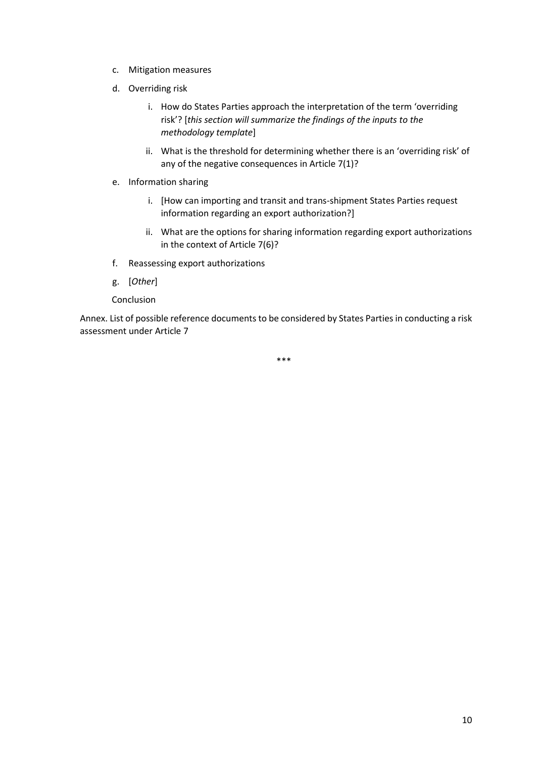- c. Mitigation measures
- d. Overriding risk
	- i. How do States Parties approach the interpretation of the term 'overriding risk'? [*this section will summarize the findings of the inputs to the methodology template*]
	- ii. What is the threshold for determining whether there is an 'overriding risk' of any of the negative consequences in Article 7(1)?
- e. Information sharing
	- i. [How can importing and transit and trans-shipment States Parties request information regarding an export authorization?]
	- ii. What are the options for sharing information regarding export authorizations in the context of Article 7(6)?
- f. Reassessing export authorizations
- g. [*Other*]
- Conclusion

Annex. List of possible reference documents to be considered by States Parties in conducting a risk assessment under Article 7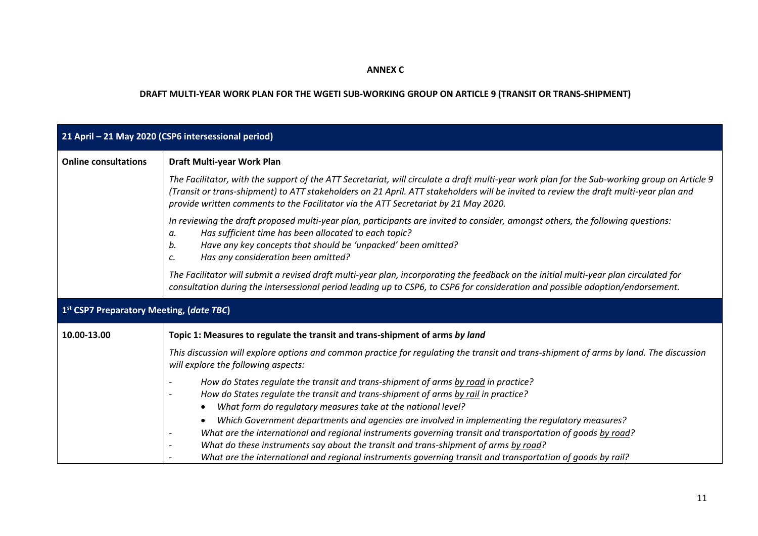### **ANNEX C**

# **DRAFT MULTI-YEAR WORK PLAN FOR THE WGETI SUB-WORKING GROUP ON ARTICLE 9 (TRANSIT OR TRANS-SHIPMENT)**

| 21 April - 21 May 2020 (CSP6 intersessional period)  |                                                                                                                                                                                                                                                                                                                                                                              |  |
|------------------------------------------------------|------------------------------------------------------------------------------------------------------------------------------------------------------------------------------------------------------------------------------------------------------------------------------------------------------------------------------------------------------------------------------|--|
| <b>Online consultations</b>                          | Draft Multi-year Work Plan                                                                                                                                                                                                                                                                                                                                                   |  |
|                                                      | The Facilitator, with the support of the ATT Secretariat, will circulate a draft multi-year work plan for the Sub-working group on Article 9<br>(Transit or trans-shipment) to ATT stakeholders on 21 April. ATT stakeholders will be invited to review the draft multi-year plan and<br>provide written comments to the Facilitator via the ATT Secretariat by 21 May 2020. |  |
|                                                      | In reviewing the draft proposed multi-year plan, participants are invited to consider, amongst others, the following questions:<br>Has sufficient time has been allocated to each topic?<br>а.<br>Have any key concepts that should be 'unpacked' been omitted?<br>b.<br>Has any consideration been omitted?<br>c.                                                           |  |
|                                                      | The Facilitator will submit a revised draft multi-year plan, incorporating the feedback on the initial multi-year plan circulated for<br>consultation during the intersessional period leading up to CSP6, to CSP6 for consideration and possible adoption/endorsement.                                                                                                      |  |
| 1 <sup>st</sup> CSP7 Preparatory Meeting, (date TBC) |                                                                                                                                                                                                                                                                                                                                                                              |  |
| 10.00-13.00                                          | Topic 1: Measures to regulate the transit and trans-shipment of arms by land                                                                                                                                                                                                                                                                                                 |  |
|                                                      | This discussion will explore options and common practice for regulating the transit and trans-shipment of arms by land. The discussion<br>will explore the following aspects:                                                                                                                                                                                                |  |
|                                                      | How do States regulate the transit and trans-shipment of arms by road in practice?<br>How do States regulate the transit and trans-shipment of arms by rail in practice?<br>What form do regulatory measures take at the national level?<br>$\bullet$<br>Which Government departments and agencies are involved in implementing the regulatory measures?                     |  |
|                                                      | What are the international and regional instruments governing transit and transportation of goods by road?<br>What do these instruments say about the transit and trans-shipment of arms by road?<br>What are the international and regional instruments governing transit and transportation of goods by rail?                                                              |  |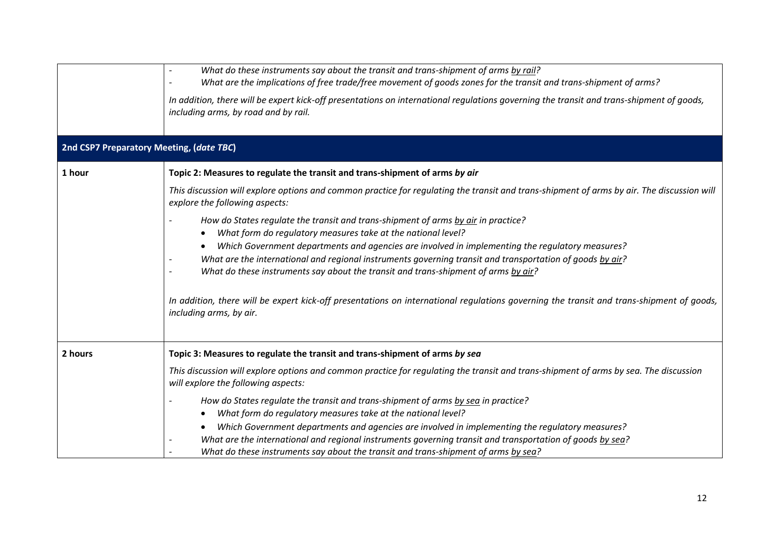|                                          | What do these instruments say about the transit and trans-shipment of arms by rail?<br>What are the implications of free trade/free movement of goods zones for the transit and trans-shipment of arms?      |
|------------------------------------------|--------------------------------------------------------------------------------------------------------------------------------------------------------------------------------------------------------------|
|                                          | In addition, there will be expert kick-off presentations on international regulations governing the transit and trans-shipment of goods,<br>including arms, by road and by rail.                             |
| 2nd CSP7 Preparatory Meeting, (date TBC) |                                                                                                                                                                                                              |
| 1 hour                                   | Topic 2: Measures to regulate the transit and trans-shipment of arms by air                                                                                                                                  |
|                                          | This discussion will explore options and common practice for regulating the transit and trans-shipment of arms by air. The discussion will<br>explore the following aspects:                                 |
|                                          | How do States regulate the transit and trans-shipment of arms by air in practice?<br>What form do regulatory measures take at the national level?                                                            |
|                                          | Which Government departments and agencies are involved in implementing the regulatory measures?                                                                                                              |
|                                          | What are the international and regional instruments governing transit and transportation of goods by air?<br>What do these instruments say about the transit and trans-shipment of arms by air?              |
|                                          | In addition, there will be expert kick-off presentations on international regulations governing the transit and trans-shipment of goods,<br>including arms, by air.                                          |
| 2 hours                                  | Topic 3: Measures to regulate the transit and trans-shipment of arms by sea                                                                                                                                  |
|                                          | This discussion will explore options and common practice for regulating the transit and trans-shipment of arms by sea. The discussion<br>will explore the following aspects:                                 |
|                                          | How do States regulate the transit and trans-shipment of arms by sea in practice?                                                                                                                            |
|                                          | What form do regulatory measures take at the national level?<br>$\bullet$                                                                                                                                    |
|                                          | Which Government departments and agencies are involved in implementing the regulatory measures?<br>What are the international and regional instruments governing transit and transportation of goods by sea? |
|                                          | What do these instruments say about the transit and trans-shipment of arms by sea?                                                                                                                           |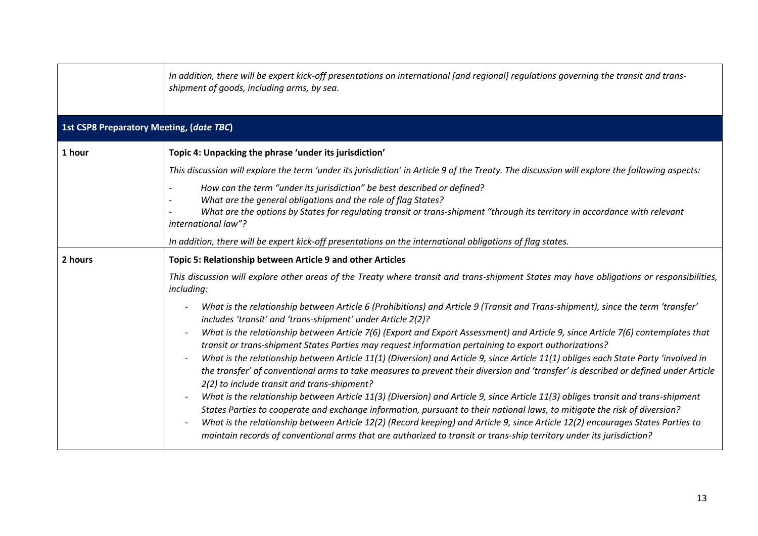|                                                 | In addition, there will be expert kick-off presentations on international [and regional] regulations governing the transit and trans-<br>shipment of goods, including arms, by sea.                                                                                                 |
|-------------------------------------------------|-------------------------------------------------------------------------------------------------------------------------------------------------------------------------------------------------------------------------------------------------------------------------------------|
| <b>1st CSP8 Preparatory Meeting, (date TBC)</b> |                                                                                                                                                                                                                                                                                     |
| 1 hour                                          | Topic 4: Unpacking the phrase 'under its jurisdiction'                                                                                                                                                                                                                              |
|                                                 | This discussion will explore the term 'under its jurisdiction' in Article 9 of the Treaty. The discussion will explore the following aspects:                                                                                                                                       |
|                                                 | How can the term "under its jurisdiction" be best described or defined?                                                                                                                                                                                                             |
|                                                 | What are the general obligations and the role of flag States?<br>What are the options by States for regulating transit or trans-shipment "through its territory in accordance with relevant                                                                                         |
|                                                 | international law"?                                                                                                                                                                                                                                                                 |
|                                                 | In addition, there will be expert kick-off presentations on the international obligations of flag states.                                                                                                                                                                           |
| 2 hours                                         | Topic 5: Relationship between Article 9 and other Articles                                                                                                                                                                                                                          |
|                                                 | This discussion will explore other areas of the Treaty where transit and trans-shipment States may have obligations or responsibilities,<br>including:                                                                                                                              |
|                                                 | What is the relationship between Article 6 (Prohibitions) and Article 9 (Transit and Trans-shipment), since the term 'transfer'<br>includes 'transit' and 'trans-shipment' under Article 2(2)?                                                                                      |
|                                                 | What is the relationship between Article 7(6) (Export and Export Assessment) and Article 9, since Article 7(6) contemplates that<br>transit or trans-shipment States Parties may request information pertaining to export authorizations?                                           |
|                                                 | What is the relationship between Article 11(1) (Diversion) and Article 9, since Article 11(1) obliges each State Party 'involved in<br>$\overline{\phantom{m}}$                                                                                                                     |
|                                                 | the transfer' of conventional arms to take measures to prevent their diversion and 'transfer' is described or defined under Article<br>2(2) to include transit and trans-shipment?                                                                                                  |
|                                                 | What is the relationship between Article 11(3) (Diversion) and Article 9, since Article 11(3) obliges transit and trans-shipment                                                                                                                                                    |
|                                                 | States Parties to cooperate and exchange information, pursuant to their national laws, to mitigate the risk of diversion?                                                                                                                                                           |
|                                                 | What is the relationship between Article 12(2) (Record keeping) and Article 9, since Article 12(2) encourages States Parties to<br>$\overline{\phantom{m}}$<br>maintain records of conventional arms that are authorized to transit or trans-ship territory under its jurisdiction? |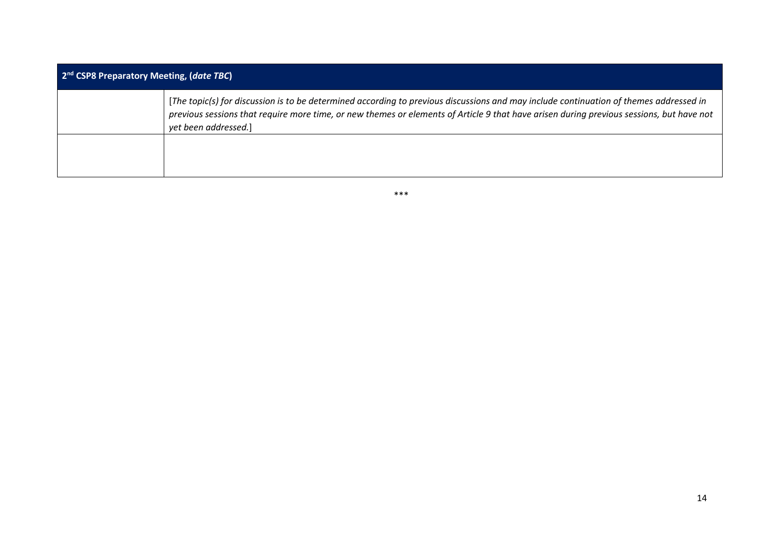| 2 <sup>nd</sup> CSP8 Preparatory Meeting, (date TBC) |                                                                                                                                                                                                                                                                                                            |  |
|------------------------------------------------------|------------------------------------------------------------------------------------------------------------------------------------------------------------------------------------------------------------------------------------------------------------------------------------------------------------|--|
|                                                      | [The topic(s) for discussion is to be determined according to previous discussions and may include continuation of themes addressed in<br>previous sessions that require more time, or new themes or elements of Article 9 that have arisen during previous sessions, but have not<br>yet been addressed.] |  |
|                                                      |                                                                                                                                                                                                                                                                                                            |  |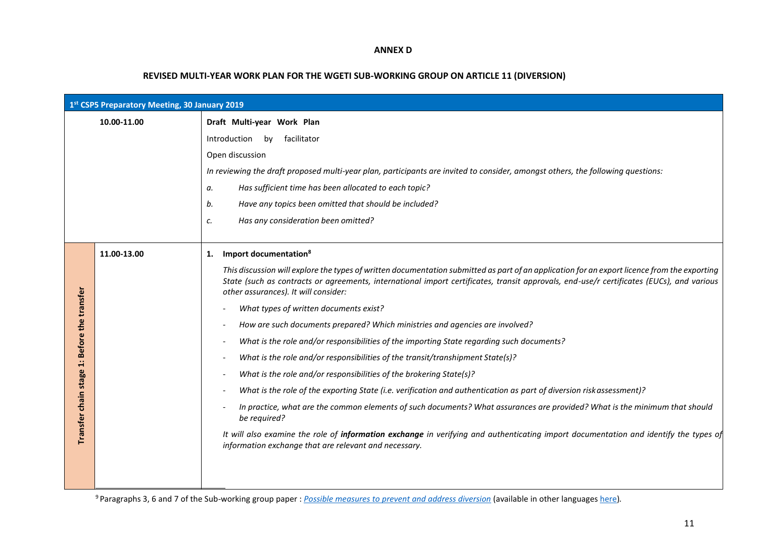#### **ANNEX D**

#### **REVISED MULTI-YEAR WORK PLAN FOR THE WGETI SUB-WORKING GROUP ON ARTICLE 11 (DIVERSION)**

| 1st CSP5 Preparatory Meeting, 30 January 2019 |                                                                                                                                                                                                                                                                                                                                                                                                                                                                                                                                                                                                                                                                                                                                                                                                                                                                                                                                                                                                                                                                                                                                                                                         |  |
|-----------------------------------------------|-----------------------------------------------------------------------------------------------------------------------------------------------------------------------------------------------------------------------------------------------------------------------------------------------------------------------------------------------------------------------------------------------------------------------------------------------------------------------------------------------------------------------------------------------------------------------------------------------------------------------------------------------------------------------------------------------------------------------------------------------------------------------------------------------------------------------------------------------------------------------------------------------------------------------------------------------------------------------------------------------------------------------------------------------------------------------------------------------------------------------------------------------------------------------------------------|--|
| 10.00-11.00                                   | Draft Multi-year Work Plan                                                                                                                                                                                                                                                                                                                                                                                                                                                                                                                                                                                                                                                                                                                                                                                                                                                                                                                                                                                                                                                                                                                                                              |  |
|                                               | facilitator<br>Introduction by                                                                                                                                                                                                                                                                                                                                                                                                                                                                                                                                                                                                                                                                                                                                                                                                                                                                                                                                                                                                                                                                                                                                                          |  |
|                                               | Open discussion                                                                                                                                                                                                                                                                                                                                                                                                                                                                                                                                                                                                                                                                                                                                                                                                                                                                                                                                                                                                                                                                                                                                                                         |  |
|                                               | In reviewing the draft proposed multi-year plan, participants are invited to consider, amongst others, the following questions:                                                                                                                                                                                                                                                                                                                                                                                                                                                                                                                                                                                                                                                                                                                                                                                                                                                                                                                                                                                                                                                         |  |
|                                               | Has sufficient time has been allocated to each topic?<br>а.                                                                                                                                                                                                                                                                                                                                                                                                                                                                                                                                                                                                                                                                                                                                                                                                                                                                                                                                                                                                                                                                                                                             |  |
|                                               | Have any topics been omitted that should be included?<br>b.                                                                                                                                                                                                                                                                                                                                                                                                                                                                                                                                                                                                                                                                                                                                                                                                                                                                                                                                                                                                                                                                                                                             |  |
|                                               | Has any consideration been omitted?<br>с.                                                                                                                                                                                                                                                                                                                                                                                                                                                                                                                                                                                                                                                                                                                                                                                                                                                                                                                                                                                                                                                                                                                                               |  |
|                                               |                                                                                                                                                                                                                                                                                                                                                                                                                                                                                                                                                                                                                                                                                                                                                                                                                                                                                                                                                                                                                                                                                                                                                                                         |  |
| 11.00-13.00                                   | Import documentation <sup>8</sup><br>1.                                                                                                                                                                                                                                                                                                                                                                                                                                                                                                                                                                                                                                                                                                                                                                                                                                                                                                                                                                                                                                                                                                                                                 |  |
|                                               | This discussion will explore the types of written documentation submitted as part of an application for an export licence from the exporting<br>State (such as contracts or agreements, international import certificates, transit approvals, end-use/r certificates (EUCs), and various<br>other assurances). It will consider:<br>What types of written documents exist?<br>How are such documents prepared? Which ministries and agencies are involved?<br>What is the role and/or responsibilities of the importing State regarding such documents?<br>What is the role and/or responsibilities of the transit/transhipment State(s)?<br>What is the role and/or responsibilities of the brokering State(s)?<br>What is the role of the exporting State (i.e. verification and authentication as part of diversion risk assessment)?<br>In practice, what are the common elements of such documents? What assurances are provided? What is the minimum that should<br>be required?<br>It will also examine the role of information exchange in verifying and authenticating import documentation and identify the types of<br>information exchange that are relevant and necessary. |  |
|                                               |                                                                                                                                                                                                                                                                                                                                                                                                                                                                                                                                                                                                                                                                                                                                                                                                                                                                                                                                                                                                                                                                                                                                                                                         |  |

<sup>9</sup>Paragraphs 3, 6 and 7 of the Sub-working group paper : *[Possible measures to prevent and address diversion](https://www.thearmstradetreaty.org/hyper-images/file/Article%2011%20-%20Possible%20measures%20to%20prevent%20and%20address%20diversion/Article%2011%20-%20Possible%20measures%20to%20prevent%20and%20address%20diversion.pdf)* (available in other language[s here\)](https://www.thearmstradetreaty.org/tools-and-guidelines.html)*.*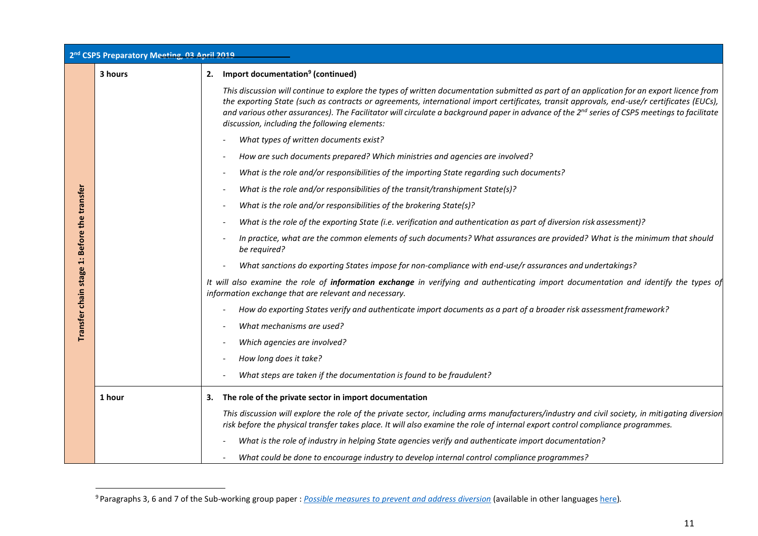| 2 <sup>nd</sup> CSP5 Preparatory Meeting, 03 April 2019 |         |                                                                                                                                                                                                                                                                                                                                                                                                                                                                                                       |
|---------------------------------------------------------|---------|-------------------------------------------------------------------------------------------------------------------------------------------------------------------------------------------------------------------------------------------------------------------------------------------------------------------------------------------------------------------------------------------------------------------------------------------------------------------------------------------------------|
|                                                         | 3 hours | 2. Import documentation <sup>9</sup> (continued)                                                                                                                                                                                                                                                                                                                                                                                                                                                      |
|                                                         |         | This discussion will continue to explore the types of written documentation submitted as part of an application for an export licence from<br>the exporting State (such as contracts or agreements, international import certificates, transit approvals, end-use/r certificates (EUCs),<br>and various other assurances). The Facilitator will circulate a background paper in advance of the 2 <sup>nd</sup> series of CSP5 meetings to facilitate<br>discussion, including the following elements: |
|                                                         |         | What types of written documents exist?                                                                                                                                                                                                                                                                                                                                                                                                                                                                |
|                                                         |         | How are such documents prepared? Which ministries and agencies are involved?                                                                                                                                                                                                                                                                                                                                                                                                                          |
|                                                         |         | What is the role and/or responsibilities of the importing State regarding such documents?                                                                                                                                                                                                                                                                                                                                                                                                             |
|                                                         |         | What is the role and/or responsibilities of the transit/transhipment State(s)?                                                                                                                                                                                                                                                                                                                                                                                                                        |
|                                                         |         | What is the role and/or responsibilities of the brokering State(s)?                                                                                                                                                                                                                                                                                                                                                                                                                                   |
|                                                         |         | What is the role of the exporting State (i.e. verification and authentication as part of diversion risk assessment)?                                                                                                                                                                                                                                                                                                                                                                                  |
| Transfer chain stage 1: Before the transfer             |         | In practice, what are the common elements of such documents? What assurances are provided? What is the minimum that should<br>be required?                                                                                                                                                                                                                                                                                                                                                            |
|                                                         |         | What sanctions do exporting States impose for non-compliance with end-use/r assurances and undertakings?                                                                                                                                                                                                                                                                                                                                                                                              |
|                                                         |         | It will also examine the role of information exchange in verifying and authenticating import documentation and identify the types of<br>information exchange that are relevant and necessary.                                                                                                                                                                                                                                                                                                         |
|                                                         |         | How do exporting States verify and authenticate import documents as a part of a broader risk assessment framework?                                                                                                                                                                                                                                                                                                                                                                                    |
|                                                         |         | What mechanisms are used?                                                                                                                                                                                                                                                                                                                                                                                                                                                                             |
|                                                         |         | Which agencies are involved?                                                                                                                                                                                                                                                                                                                                                                                                                                                                          |
|                                                         |         | How long does it take?                                                                                                                                                                                                                                                                                                                                                                                                                                                                                |
|                                                         |         | What steps are taken if the documentation is found to be fraudulent?                                                                                                                                                                                                                                                                                                                                                                                                                                  |
|                                                         | 1 hour  | The role of the private sector in import documentation<br>З.                                                                                                                                                                                                                                                                                                                                                                                                                                          |
|                                                         |         | This discussion will explore the role of the private sector, including arms manufacturers/industry and civil society, in mitigating diversion<br>risk before the physical transfer takes place. It will also examine the role of internal export control compliance programmes.                                                                                                                                                                                                                       |
|                                                         |         | What is the role of industry in helping State agencies verify and authenticate import documentation?                                                                                                                                                                                                                                                                                                                                                                                                  |
|                                                         |         | What could be done to encourage industry to develop internal control compliance programmes?                                                                                                                                                                                                                                                                                                                                                                                                           |

<sup>9</sup>Paragraphs 3, 6 and 7 of the Sub-working group paper : *[Possible measures to prevent and address diversion](https://www.thearmstradetreaty.org/hyper-images/file/Article%2011%20-%20Possible%20measures%20to%20prevent%20and%20address%20diversion/Article%2011%20-%20Possible%20measures%20to%20prevent%20and%20address%20diversion.pdf)* (available in other language[s here\)](https://www.thearmstradetreaty.org/tools-and-guidelines.html)*.*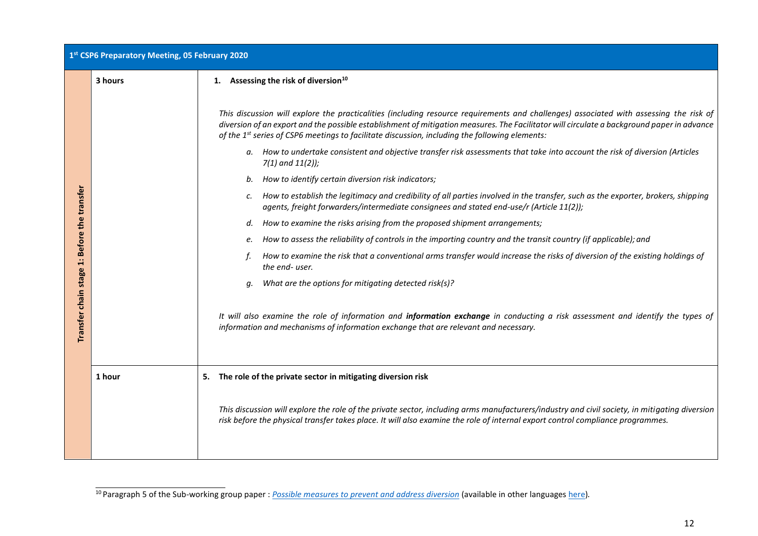| 1st CSP6 Preparatory Meeting, 05 February 2020 |         |                                                                                                                                                                                                                                                                                                                                                                                                                                                                                                                         |  |  |  |
|------------------------------------------------|---------|-------------------------------------------------------------------------------------------------------------------------------------------------------------------------------------------------------------------------------------------------------------------------------------------------------------------------------------------------------------------------------------------------------------------------------------------------------------------------------------------------------------------------|--|--|--|
|                                                | 3 hours | 1. Assessing the risk of diversion <sup>10</sup>                                                                                                                                                                                                                                                                                                                                                                                                                                                                        |  |  |  |
|                                                |         | This discussion will explore the practicalities (including resource requirements and challenges) associated with assessing the risk of<br>diversion of an export and the possible establishment of mitigation measures. The Facilitator will circulate a background paper in advance<br>of the 1st series of CSP6 meetings to facilitate discussion, including the following elements:<br>a. How to undertake consistent and objective transfer risk assessments that take into account the risk of diversion (Articles |  |  |  |
|                                                |         | $7(1)$ and $11(2)$ );                                                                                                                                                                                                                                                                                                                                                                                                                                                                                                   |  |  |  |
|                                                |         | How to identify certain diversion risk indicators;<br>b.                                                                                                                                                                                                                                                                                                                                                                                                                                                                |  |  |  |
| 1: Before the transfer<br>Transfer chain stage |         | How to establish the legitimacy and credibility of all parties involved in the transfer, such as the exporter, brokers, shipping<br>C.<br>agents, freight forwarders/intermediate consignees and stated end-use/r (Article 11(2));                                                                                                                                                                                                                                                                                      |  |  |  |
|                                                |         | How to examine the risks arising from the proposed shipment arrangements;<br>d.                                                                                                                                                                                                                                                                                                                                                                                                                                         |  |  |  |
|                                                |         | How to assess the reliability of controls in the importing country and the transit country (if applicable); and<br>e.                                                                                                                                                                                                                                                                                                                                                                                                   |  |  |  |
|                                                |         | How to examine the risk that a conventional arms transfer would increase the risks of diversion of the existing holdings of<br>the end-user.                                                                                                                                                                                                                                                                                                                                                                            |  |  |  |
|                                                |         | What are the options for mitigating detected risk(s)?<br>q.                                                                                                                                                                                                                                                                                                                                                                                                                                                             |  |  |  |
|                                                |         | It will also examine the role of information and information exchange in conducting a risk assessment and identify the types of<br>information and mechanisms of information exchange that are relevant and necessary.                                                                                                                                                                                                                                                                                                  |  |  |  |
|                                                | 1 hour  | 5. The role of the private sector in mitigating diversion risk                                                                                                                                                                                                                                                                                                                                                                                                                                                          |  |  |  |
|                                                |         | This discussion will explore the role of the private sector, including arms manufacturers/industry and civil society, in mitigating diversion<br>risk before the physical transfer takes place. It will also examine the role of internal export control compliance programmes.                                                                                                                                                                                                                                         |  |  |  |

<sup>10</sup>Paragraph 5 of the Sub-working group paper : *[Possible measures to prevent and address diversion](https://www.thearmstradetreaty.org/hyper-images/file/Article%2011%20-%20Possible%20measures%20to%20prevent%20and%20address%20diversion/Article%2011%20-%20Possible%20measures%20to%20prevent%20and%20address%20diversion.pdf)* (available in other language[s here\)](https://www.thearmstradetreaty.org/tools-and-guidelines.html)*.*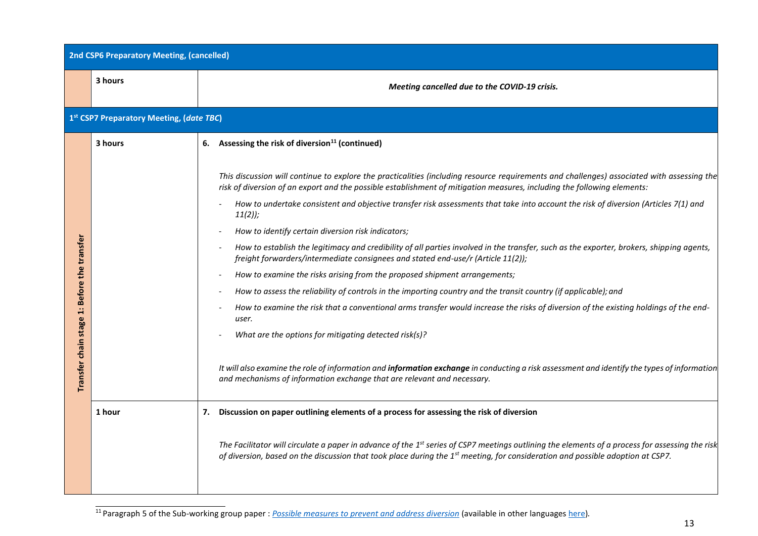| <b>2nd CSP6 Preparatory Meeting, (cancelled)</b> |                                          |                                                                                                                                                                                                                                                                                                                                                                                                                           |  |  |  |  |  |
|--------------------------------------------------|------------------------------------------|---------------------------------------------------------------------------------------------------------------------------------------------------------------------------------------------------------------------------------------------------------------------------------------------------------------------------------------------------------------------------------------------------------------------------|--|--|--|--|--|
|                                                  | 3 hours                                  | Meeting cancelled due to the COVID-19 crisis.                                                                                                                                                                                                                                                                                                                                                                             |  |  |  |  |  |
|                                                  | 1st CSP7 Preparatory Meeting, (date TBC) |                                                                                                                                                                                                                                                                                                                                                                                                                           |  |  |  |  |  |
|                                                  | 3 hours                                  | 6. Assessing the risk of diversion <sup>11</sup> (continued)                                                                                                                                                                                                                                                                                                                                                              |  |  |  |  |  |
|                                                  |                                          | This discussion will continue to explore the practicalities (including resource requirements and challenges) associated with assessing the<br>risk of diversion of an export and the possible establishment of mitigation measures, including the following elements:<br>How to undertake consistent and objective transfer risk assessments that take into account the risk of diversion (Articles 7(1) and<br>$11(2)$ ; |  |  |  |  |  |
|                                                  |                                          | How to identify certain diversion risk indicators;                                                                                                                                                                                                                                                                                                                                                                        |  |  |  |  |  |
| Before the transfer                              |                                          | How to establish the legitimacy and credibility of all parties involved in the transfer, such as the exporter, brokers, shipping agents,<br>freight forwarders/intermediate consignees and stated end-use/r (Article 11(2));                                                                                                                                                                                              |  |  |  |  |  |
|                                                  |                                          | How to examine the risks arising from the proposed shipment arrangements;<br>$\overline{\phantom{a}}$                                                                                                                                                                                                                                                                                                                     |  |  |  |  |  |
|                                                  |                                          | How to assess the reliability of controls in the importing country and the transit country (if applicable); and                                                                                                                                                                                                                                                                                                           |  |  |  |  |  |
| $\ddot{ }$                                       |                                          | How to examine the risk that a conventional arms transfer would increase the risks of diversion of the existing holdings of the end-<br>user.                                                                                                                                                                                                                                                                             |  |  |  |  |  |
|                                                  |                                          | What are the options for mitigating detected risk(s)?                                                                                                                                                                                                                                                                                                                                                                     |  |  |  |  |  |
| Transfer chain stage                             |                                          | It will also examine the role of information and information exchange in conducting a risk assessment and identify the types of information<br>and mechanisms of information exchange that are relevant and necessary.                                                                                                                                                                                                    |  |  |  |  |  |
|                                                  | 1 hour                                   | 7. Discussion on paper outlining elements of a process for assessing the risk of diversion                                                                                                                                                                                                                                                                                                                                |  |  |  |  |  |
|                                                  |                                          | The Facilitator will circulate a paper in advance of the $1st$ series of CSP7 meetings outlining the elements of a process for assessing the risk<br>of diversion, based on the discussion that took place during the 1 <sup>st</sup> meeting, for consideration and possible adoption at CSP7.                                                                                                                           |  |  |  |  |  |

<sup>11</sup>Paragraph 5 of the Sub-working group paper : *[Possible measures to prevent and address diversion](https://www.thearmstradetreaty.org/hyper-images/file/Article%2011%20-%20Possible%20measures%20to%20prevent%20and%20address%20diversion/Article%2011%20-%20Possible%20measures%20to%20prevent%20and%20address%20diversion.pdf)* (available in other language[s here\)](https://www.thearmstradetreaty.org/tools-and-guidelines.html)*.*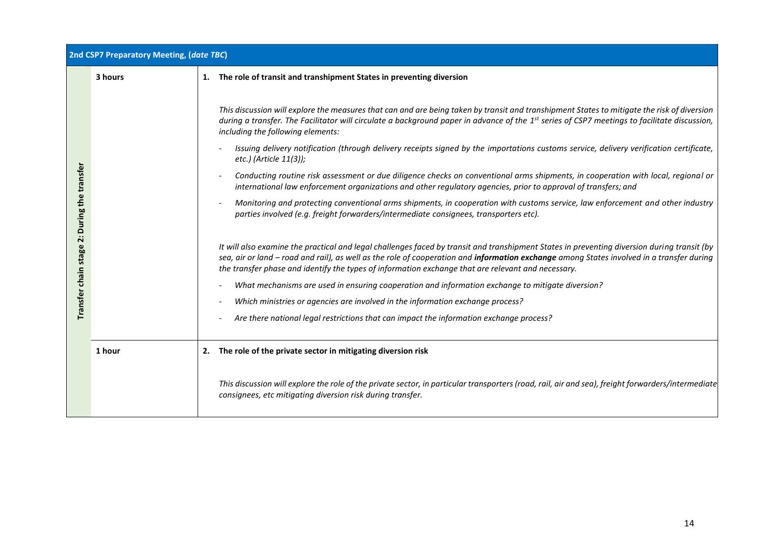| 2nd CSP7 Preparatory Meeting, (date TBC)                   |         |                                                                                                                                                                                                                                                                                                                                                                                                |  |  |  |  |
|------------------------------------------------------------|---------|------------------------------------------------------------------------------------------------------------------------------------------------------------------------------------------------------------------------------------------------------------------------------------------------------------------------------------------------------------------------------------------------|--|--|--|--|
|                                                            | 3 hours | 1. The role of transit and transhipment States in preventing diversion                                                                                                                                                                                                                                                                                                                         |  |  |  |  |
| During the transfer<br>ä<br>chain stage<br><b>Transfer</b> |         | This discussion will explore the measures that can and are being taken by transit and transhipment States to mitigate the risk of diversion<br>during a transfer. The Facilitator will circulate a background paper in advance of the 1 <sup>st</sup> series of CSP7 meetings to facilitate discussion,<br>including the following elements:                                                   |  |  |  |  |
|                                                            |         | Issuing delivery notification (through delivery receipts signed by the importations customs service, delivery verification certificate,<br>etc.) (Article 11(3));                                                                                                                                                                                                                              |  |  |  |  |
|                                                            |         | Conducting routine risk assessment or due diligence checks on conventional arms shipments, in cooperation with local, regional or<br>international law enforcement organizations and other regulatory agencies, prior to approval of transfers; and                                                                                                                                            |  |  |  |  |
|                                                            |         | Monitoring and protecting conventional arms shipments, in cooperation with customs service, law enforcement and other industry<br>parties involved (e.g. freight forwarders/intermediate consignees, transporters etc).                                                                                                                                                                        |  |  |  |  |
|                                                            |         | It will also examine the practical and legal challenges faced by transit and transhipment States in preventing diversion during transit (by<br>sea, air or land - road and rail), as well as the role of cooperation and information exchange among States involved in a transfer during<br>the transfer phase and identify the types of information exchange that are relevant and necessary. |  |  |  |  |
|                                                            |         | What mechanisms are used in ensuring cooperation and information exchange to mitigate diversion?                                                                                                                                                                                                                                                                                               |  |  |  |  |
|                                                            |         | Which ministries or agencies are involved in the information exchange process?                                                                                                                                                                                                                                                                                                                 |  |  |  |  |
|                                                            |         | Are there national legal restrictions that can impact the information exchange process?                                                                                                                                                                                                                                                                                                        |  |  |  |  |
|                                                            | 1 hour  | 2. The role of the private sector in mitigating diversion risk                                                                                                                                                                                                                                                                                                                                 |  |  |  |  |
|                                                            |         | This discussion will explore the role of the private sector, in particular transporters (road, rail, air and sea), freight forwarders/intermediate<br>consignees, etc mitigating diversion risk during transfer.                                                                                                                                                                               |  |  |  |  |